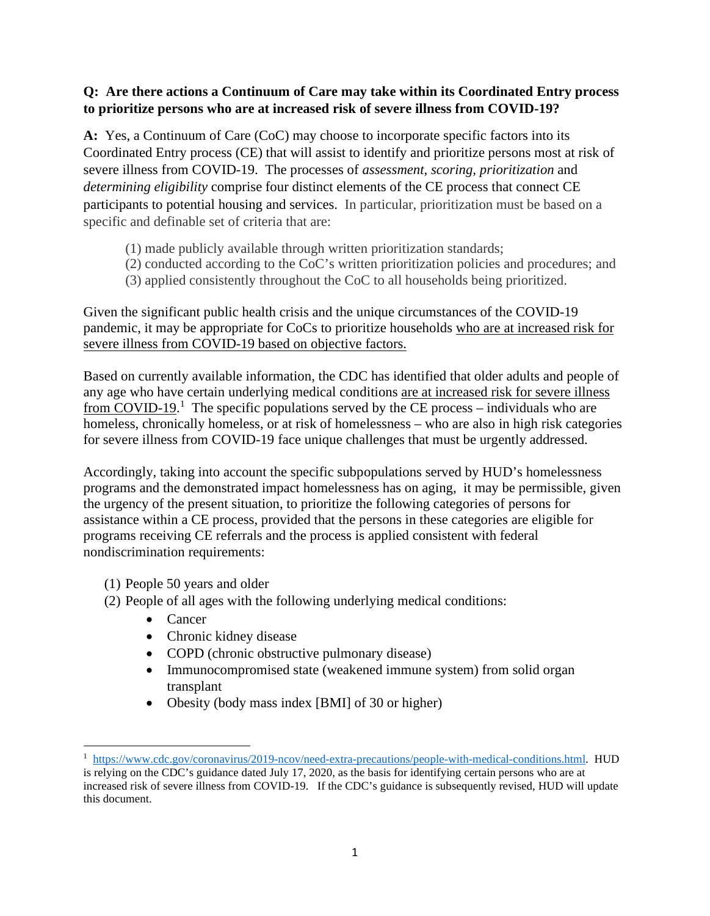## **Q: Are there actions a Continuum of Care may take within its Coordinated Entry process to prioritize persons who are at increased risk of severe illness from COVID-19?**

**A:** Yes, a Continuum of Care (CoC) may choose to incorporate specific factors into its Coordinated Entry process (CE) that will assist to identify and prioritize persons most at risk of severe illness from COVID-19. The processes of *assessment*, *scoring, prioritization* and *determining eligibility* comprise four distinct elements of the CE process that connect CE participants to potential housing and services. In particular, prioritization must be based on a specific and definable set of criteria that are:

- (1) made publicly available through written prioritization standards;
- (2) conducted according to the CoC's written prioritization policies and procedures; and
- (3) applied consistently throughout the CoC to all households being prioritized.

Given the significant public health crisis and the unique circumstances of the COVID-19 pandemic, it may be appropriate for CoCs to prioritize households who are at increased risk for severe illness from COVID-19 based on objective factors.

Based on currently available information, the CDC has identified that older adults and people of any age who have certain underlying medical conditions are at increased risk for severe illness from COVID-19.<sup>1</sup> The specific populations served by the CE process – individuals who are homeless, chronically homeless, or at risk of homelessness – who are also in high risk categories for severe illness from COVID-19 face unique challenges that must be urgently addressed.

Accordingly, taking into account the specific subpopulations served by HUD's homelessness programs and the demonstrated impact homelessness has on aging, it may be permissible, given the urgency of the present situation, to prioritize the following categories of persons for assistance within a CE process, provided that the persons in these categories are eligible for programs receiving CE referrals and the process is applied consistent with federal nondiscrimination requirements:

- (1) People 50 years and older
- (2) People of all ages with the following underlying medical conditions:
	- Cancer
	- Chronic kidney disease
	- COPD (chronic obstructive pulmonary disease)
	- Immunocompromised state (weakened immune system) from solid organ transplant
	- Obesity (body mass index [BMI] of 30 or higher)

<sup>&</sup>lt;sup>1</sup> [https://www.cdc.gov/coronavirus/2019-ncov/need-extra-precautions/people-with-medical-conditions.html.](https://www.cdc.gov/coronavirus/2019-ncov/need-extra-precautions/people-with-medical-conditions.html) HUD is relying on the CDC's guidance dated July 17, 2020, as the basis for identifying certain persons who are at increased risk of severe illness from COVID-19. If the CDC's guidance is subsequently revised, HUD will update this document.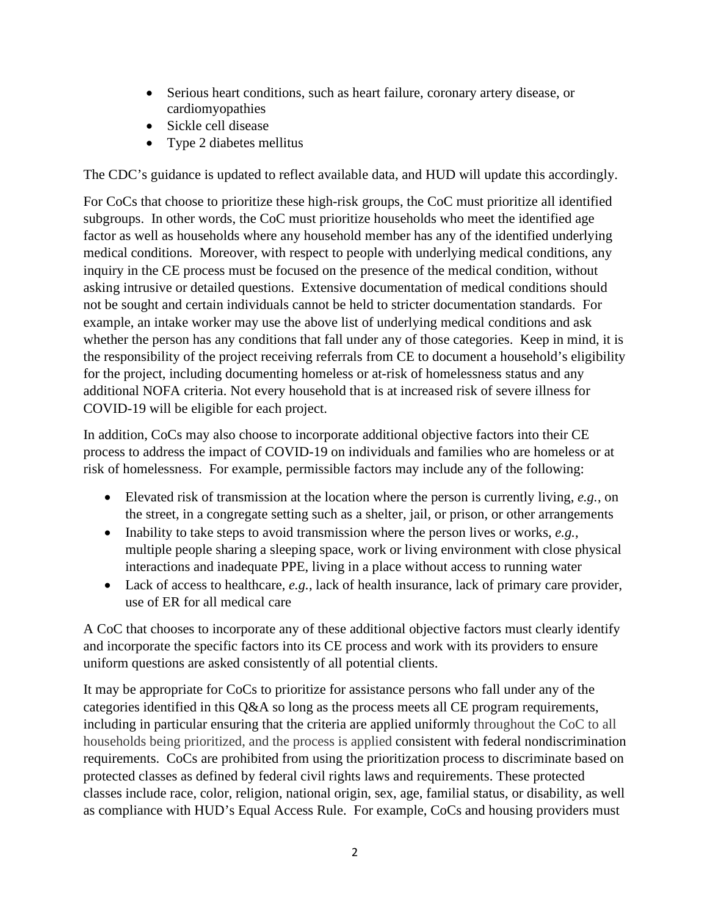- Serious heart conditions, such as heart failure, coronary artery disease, or cardiomyopathies
- Sickle cell disease
- Type 2 diabetes mellitus

The CDC's guidance is updated to reflect available data, and HUD will update this accordingly.

For CoCs that choose to prioritize these high-risk groups, the CoC must prioritize all identified subgroups. In other words, the CoC must prioritize households who meet the identified age factor as well as households where any household member has any of the identified underlying medical conditions. Moreover, with respect to people with underlying medical conditions, any inquiry in the CE process must be focused on the presence of the medical condition, without asking intrusive or detailed questions. Extensive documentation of medical conditions should not be sought and certain individuals cannot be held to stricter documentation standards. For example, an intake worker may use the above list of underlying medical conditions and ask whether the person has any conditions that fall under any of those categories. Keep in mind, it is the responsibility of the project receiving referrals from CE to document a household's eligibility for the project, including documenting homeless or at-risk of homelessness status and any additional NOFA criteria. Not every household that is at increased risk of severe illness for COVID-19 will be eligible for each project.

In addition, CoCs may also choose to incorporate additional objective factors into their CE process to address the impact of COVID-19 on individuals and families who are homeless or at risk of homelessness. For example, permissible factors may include any of the following:

- Elevated risk of transmission at the location where the person is currently living, *e.g.*, on the street, in a congregate setting such as a shelter, jail, or prison, or other arrangements
- Inability to take steps to avoid transmission where the person lives or works, *e.g.*, multiple people sharing a sleeping space, work or living environment with close physical interactions and inadequate PPE, living in a place without access to running water
- Lack of access to healthcare, *e.g.*, lack of health insurance, lack of primary care provider, use of ER for all medical care

A CoC that chooses to incorporate any of these additional objective factors must clearly identify and incorporate the specific factors into its CE process and work with its providers to ensure uniform questions are asked consistently of all potential clients.

It may be appropriate for CoCs to prioritize for assistance persons who fall under any of the categories identified in this Q&A so long as the process meets all CE program requirements, including in particular ensuring that the criteria are applied uniformly throughout the CoC to all households being prioritized, and the process is applied consistent with federal nondiscrimination requirements. CoCs are prohibited from using the prioritization process to discriminate based on protected classes as defined by federal civil rights laws and requirements. These protected classes include race, color, religion, national origin, sex, age, familial status, or disability, as well as compliance with HUD's Equal Access Rule. For example, CoCs and housing providers must